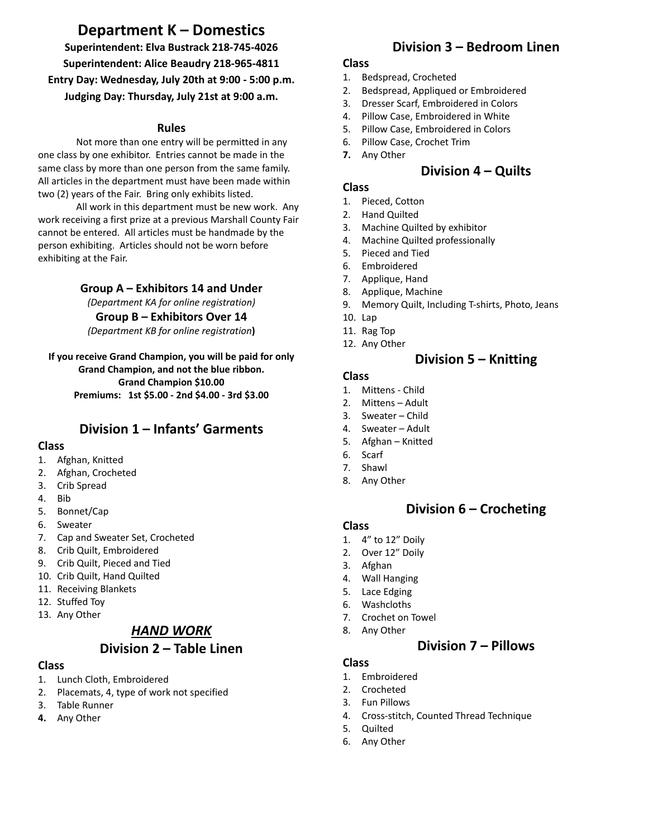# **Department K – Domestics**

**Superintendent: Elva Bustrack 218-745-4026 Superintendent: Alice Beaudry 218-965-4811 Entry Day: Wednesday, July 20th at 9:00 - 5:00 p.m. Judging Day: Thursday, July 21st at 9:00 a.m.**

#### **Rules**

Not more than one entry will be permitted in any one class by one exhibitor. Entries cannot be made in the same class by more than one person from the same family. All articles in the department must have been made within two (2) years of the Fair. Bring only exhibits listed.

All work in this department must be new work. Any work receiving a first prize at a previous Marshall County Fair cannot be entered. All articles must be handmade by the person exhibiting. Articles should not be worn before exhibiting at the Fair.

#### **Group A – Exhibitors 14 and Under**

*(Department KA for online registration)*

#### **Group B – Exhibitors Over 14**

*(Department KB for online registration***)**

#### **If you receive Grand Champion, you will be paid for only Grand Champion, and not the blue ribbon. Grand Champion \$10.00 Premiums: 1st \$5.00 - 2nd \$4.00 - 3rd \$3.00**

## **Division 1 – Infants' Garments**

#### **Class**

- 1. Afghan, Knitted
- 2. Afghan, Crocheted
- 3. Crib Spread
- 4. Bib
- 5. Bonnet/Cap
- 6. Sweater
- 7. Cap and Sweater Set, Crocheted
- 8. Crib Quilt, Embroidered
- 9. Crib Quilt, Pieced and Tied
- 10. Crib Quilt, Hand Quilted
- 11. Receiving Blankets
- 12. Stuffed Toy
- 13. Any Other

## *HAND WORK*

## **Division 2 – Table Linen**

#### **Class**

- 1. Lunch Cloth, Embroidered
- 2. Placemats, 4, type of work not specified
- 3. Table Runner
- **4.** Any Other

## **Division 3 – Bedroom Linen**

#### **Class**

- 1. Bedspread, Crocheted
- 2. Bedspread, Appliqued or Embroidered
- 3. Dresser Scarf, Embroidered in Colors
- 4. Pillow Case, Embroidered in White
- 5. Pillow Case, Embroidered in Colors
- 6. Pillow Case, Crochet Trim
- **7.** Any Other

## **Division 4 – Quilts**

#### **Class**

- 1. Pieced, Cotton
- 2. Hand Quilted
- 3. Machine Quilted by exhibitor
- 4. Machine Quilted professionally
- 5. Pieced and Tied
- 6. Embroidered
- 7. Applique, Hand
- 8. Applique, Machine
- 9. Memory Quilt, Including T-shirts, Photo, Jeans
- 10. Lap
- 11. Rag Top
- 12. Any Other

## **Division 5 – Knitting**

#### **Class**

- 1. Mittens Child
- 2. Mittens Adult
- 3. Sweater Child
- 4. Sweater Adult
- 5. Afghan Knitted
- 6. Scarf
- 7. Shawl
- 8. Any Other

### **Division 6 – Crocheting**

#### **Class**

- 1. 4" to 12" Doily
- 2. Over 12" Doily
- 3. Afghan
- 4. Wall Hanging
- 5. Lace Edging
- 6. Washcloths
- 7. Crochet on Towel
- 8. Any Other

### **Division 7 – Pillows**

### **Class**

- 1. Embroidered
- 2. Crocheted
- 3. Fun Pillows
- 4. Cross-stitch, Counted Thread Technique
- 5. Quilted
- 6. Any Other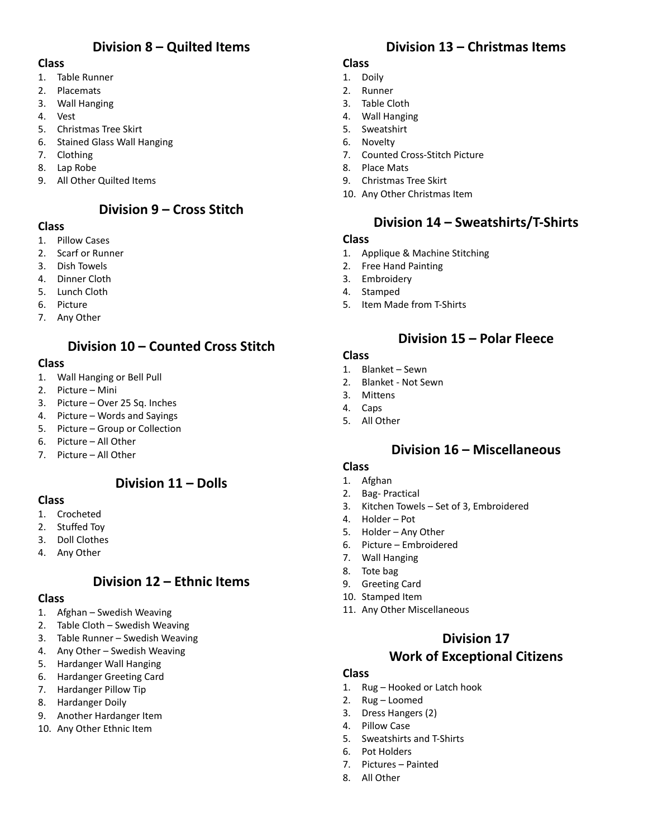## **Division 8 – Quilted Items**

#### **Class**

- 1. Table Runner
- 2. Placemats
- 3. Wall Hanging
- 4. Vest
- 5. Christmas Tree Skirt
- 6. Stained Glass Wall Hanging
- 7. Clothing
- 8. Lap Robe
- 9. All Other Quilted Items

## **Division 9 – Cross Stitch**

#### **Class**

- 1. Pillow Cases
- 2. Scarf or Runner
- 3. Dish Towels
- 4. Dinner Cloth
- 5. Lunch Cloth
- 6. Picture
- 7. Any Other

# **Division 10 – Counted Cross Stitch**

#### **Class**

- 1. Wall Hanging or Bell Pull
- 2. Picture Mini
- 3. Picture Over 25 Sq. Inches
- 4. Picture Words and Sayings
- 5. Picture Group or Collection
- 6. Picture All Other
- 7. Picture All Other

### **Division 11 – Dolls**

#### **Class**

- 1. Crocheted
- 2. Stuffed Toy
- 3. Doll Clothes
- 4. Any Other

## **Division 12 – Ethnic Items**

#### **Class**

- 1. Afghan Swedish Weaving
- 2. Table Cloth Swedish Weaving
- 3. Table Runner Swedish Weaving
- 4. Any Other Swedish Weaving
- 5. Hardanger Wall Hanging
- 6. Hardanger Greeting Card
- 7. Hardanger Pillow Tip
- 8. Hardanger Doily
- 9. Another Hardanger Item
- 10. Any Other Ethnic Item

## **Division 13 – Christmas Items**

#### **Class**

- 1. Doily
- 2. Runner
- 3. Table Cloth
- 4. Wall Hanging
- 5. Sweatshirt
- 6. Novelty
- 7. Counted Cross-Stitch Picture
- 8. Place Mats
- 9. Christmas Tree Skirt
- 10. Any Other Christmas Item

## **Division 14 – Sweatshirts/T-Shirts**

#### **Class**

- 1. Applique & Machine Stitching
- 2. Free Hand Painting
- 3. Embroidery
- 4. Stamped
- 5. Item Made from T-Shirts

## **Division 15 – Polar Fleece**

#### **Class**

- 1. Blanket Sewn
- 2. Blanket Not Sewn
- 3. Mittens
- 4. Caps
- 5. All Other

## **Division 16 – Miscellaneous**

#### **Class**

- 1. Afghan
- 2. Bag- Practical
- 3. Kitchen Towels Set of 3, Embroidered
- 4. Holder Pot
- 5. Holder Any Other
- 6. Picture Embroidered
- 7. Wall Hanging
- 8. Tote bag
- 9. Greeting Card
- 10. Stamped Item
- 11. Any Other Miscellaneous

### **Division 17**

### **Work of Exceptional Citizens**

#### **Class**

- 1. Rug Hooked or Latch hook
- 2. Rug Loomed
- 3. Dress Hangers (2)
- 4. Pillow Case
- 5. Sweatshirts and T-Shirts
- 6. Pot Holders
- 7. Pictures Painted
- 8. All Other